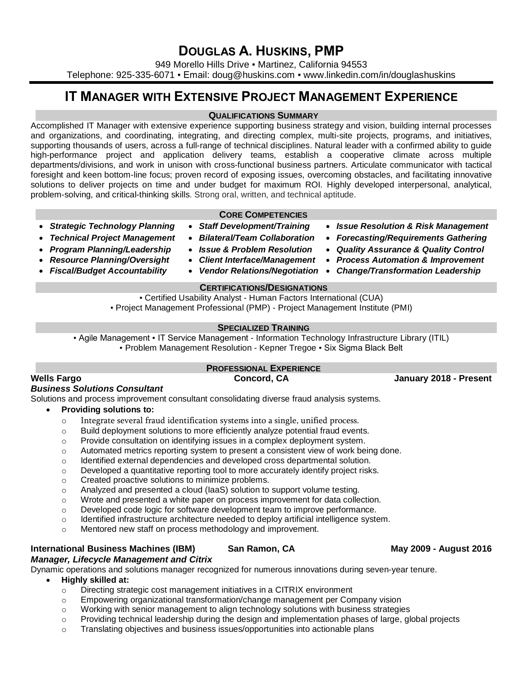# **DOUGLAS A. HUSKINS, PMP**

949 Morello Hills Drive · Martinez, California 94553 Telephone: 925-335-6071 · Email: doug@huskins.com · www.linkedin.com/in/douglashuskins

# **IT MANAGER WITH EXTENSIVE PROJECT MANAGEMENT EXPERIENCE**

#### **QUALIFICATIONS SUMMARY**

Accomplished IT Manager with extensive experience supporting business strategy and vision, building internal processes and organizations, and coordinating, integrating, and directing complex, multi-site projects, programs, and initiatives, supporting thousands of users, across a full-range of technical disciplines. Natural leader with a confirmed ability to guide high-performance project and application delivery teams, establish a cooperative climate across multiple departments/divisions, and work in unison with cross-functional business partners. Articulate communicator with tactical foresight and keen bottom-line focus; proven record of exposing issues, overcoming obstacles, and facilitating innovative solutions to deliver projects on time and under budget for maximum ROI. Highly developed interpersonal, analytical, problem-solving, and critical-thinking skills. Strong oral, written, and technical aptitude.

- 
- 
- *Program Planning/Leadership*
- *Resource Planning/Oversight*
- *Fiscal/Budget Accountability*
- **CORE COMPETENCIES**
- 
- 
- *Issue & Problem Resolution*
- *Client Interface/Management*
- *Vendor Relations/Negotiation*

### **CERTIFICATIONS/DESIGNATIONS**

▪ Certified Usability Analyst - Human Factors International (CUA) ▪ Project Management Professional (PMP) - Project Management Institute (PMI)

**- Agile Management • IT Service Management - Information Technology Infrastructure Library (ITIL)** ▪ Problem Management Resolution - Kepner Tregoe ▪ Six Sigma Black Belt

## **PROFESSIONAL EXPERIENCE**

### *Business Solutions Consultant*

Solutions and process improvement consultant consolidating diverse fraud analysis systems.

- **Providing solutions to:**
	- o Integrate several fraud identification systems into a single, unified process.
	- $\circ$  Build deployment solutions to more efficiently analyze potential fraud events.
	- o Provide consultation on identifying issues in a complex deployment system.
	- o Automated metrics reporting system to present a consistent view of work being done.
	- o Identified external dependencies and developed cross departmental solution.
	- $\circ$  Developed a quantitative reporting tool to more accurately identify project risks.
	- o Created proactive solutions to minimize problems.
	- o Analyzed and presented a cloud (IaaS) solution to support volume testing.
	- o Wrote and presented a white paper on process improvement for data collection.
	- o Developed code logic for software development team to improve performance.
	- o Identified infrastructure architecture needed to deploy artificial intelligence system.
	- o Mentored new staff on process methodology and improvement.

### **International Business Machines (IBM) San Ramon, CA May 2009 - August 2016**

# *Manager, Lifecycle Management and Citrix*

Dynamic operations and solutions manager recognized for numerous innovations during seven-year tenure.

- **Highly skilled at:**
	- o Directing strategic cost management initiatives in a CITRIX environment
	- $\circ$  Empowering organizational transformation/change management per Company vision
	- o Working with senior management to align technology solutions with business strategies
	- $\circ$  Providing technical leadership during the design and implementation phases of large, global projects
	- o Translating objectives and business issues/opportunities into actionable plans

## • *Strategic Technology Planning* • *Staff Development/Training* • *Issue Resolution & Risk Management*

- *Technical Project Management Bilateral/Team Collaboration Forecasting/Requirements Gathering*
	- *Quality Assurance & Quality Control*
	- *Process Automation & Improvement*
	- *Change/Transformation Leadership*

# **SPECIALIZED TRAINING**

**Wells Fargo Concord, CA January 2018 - Present**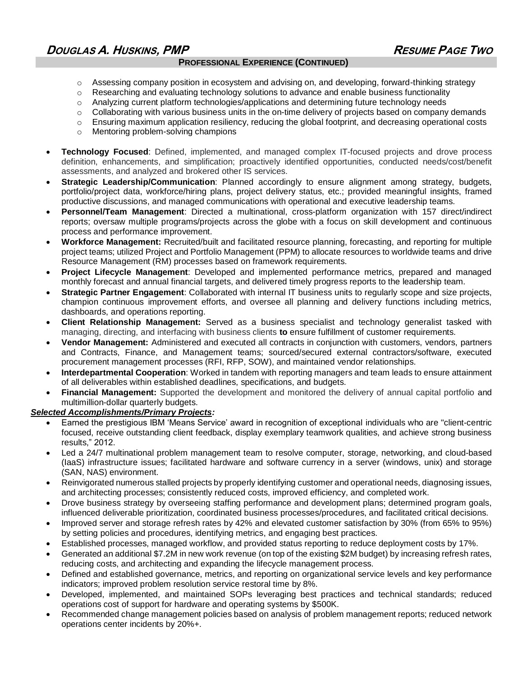#### **PROFESSIONAL EXPERIENCE (CONTINUED)**

- $\circ$  Assessing company position in ecosystem and advising on, and developing, forward-thinking strategy
- $\circ$  Researching and evaluating technology solutions to advance and enable business functionality
- o Analyzing current platform technologies/applications and determining future technology needs
- $\circ$  Collaborating with various business units in the on-time delivery of projects based on company demands
- $\circ$  Ensuring maximum application resiliency, reducing the global footprint, and decreasing operational costs
- o Mentoring problem-solving champions
- **Technology Focused**: Defined, implemented, and managed complex IT-focused projects and drove process definition, enhancements, and simplification; proactively identified opportunities, conducted needs/cost/benefit assessments, and analyzed and brokered other IS services.
- **Strategic Leadership/Communication**: Planned accordingly to ensure alignment among strategy, budgets, portfolio/project data, workforce/hiring plans, project delivery status, etc.; provided meaningful insights, framed productive discussions, and managed communications with operational and executive leadership teams.
- **Personnel/Team Management**: Directed a multinational, cross-platform organization with 157 direct/indirect reports; oversaw multiple programs/projects across the globe with a focus on skill development and continuous process and performance improvement.
- **Workforce Management:** Recruited/built and facilitated resource planning, forecasting, and reporting for multiple project teams; utilized Project and Portfolio Management (PPM) to allocate resources to worldwide teams and drive Resource Management (RM) processes based on framework requirements.
- **Project Lifecycle Management**: Developed and implemented performance metrics, prepared and managed monthly forecast and annual financial targets, and delivered timely progress reports to the leadership team.
- **Strategic Partner Engagement**: Collaborated with internal IT business units to regularly scope and size projects, champion continuous improvement efforts, and oversee all planning and delivery functions including metrics, dashboards, and operations reporting.
- **Client Relationship Management:** Served as a business specialist and technology generalist tasked with managing, directing, and interfacing with business clients **to** ensure fulfillment of customer requirements.
- **Vendor Management:** Administered and executed all contracts in conjunction with customers, vendors, partners and Contracts, Finance, and Management teams; sourced/secured external contractors/software, executed procurement management processes (RFI, RFP, SOW), and maintained vendor relationships.
- **Interdepartmental Cooperation**: Worked in tandem with reporting managers and team leads to ensure attainment of all deliverables within established deadlines, specifications, and budgets.
- **Financial Management:** Supported the development and monitored the delivery of annual capital portfolio and multimillion-dollar quarterly budgets.

### *Selected Accomplishments/Primary Projects:*

- Earned the prestigious IBM 'Means Service' award in recognition of exceptional individuals who are "client-centric focused, receive outstanding client feedback, display exemplary teamwork qualities, and achieve strong business results," 2012.
- Led a 24/7 multinational problem management team to resolve computer, storage, networking, and cloud-based (IaaS) infrastructure issues; facilitated hardware and software currency in a server (windows, unix) and storage (SAN, NAS) environment.
- Reinvigorated numerous stalled projects by properly identifying customer and operational needs, diagnosing issues, and architecting processes; consistently reduced costs, improved efficiency, and completed work.
- Drove business strategy by overseeing staffing performance and development plans; determined program goals, influenced deliverable prioritization, coordinated business processes/procedures, and facilitated critical decisions.
- Improved server and storage refresh rates by 42% and elevated customer satisfaction by 30% (from 65% to 95%) by setting policies and procedures, identifying metrics, and engaging best practices.
- Established processes, managed workflow, and provided status reporting to reduce deployment costs by 17%.
- Generated an additional \$7.2M in new work revenue (on top of the existing \$2M budget) by increasing refresh rates, reducing costs, and architecting and expanding the lifecycle management process.
- Defined and established governance, metrics, and reporting on organizational service levels and key performance indicators; improved problem resolution service restoral time by 8%.
- Developed, implemented, and maintained SOPs leveraging best practices and technical standards; reduced operations cost of support for hardware and operating systems by \$500K.
- Recommended change management policies based on analysis of problem management reports; reduced network operations center incidents by 20%+.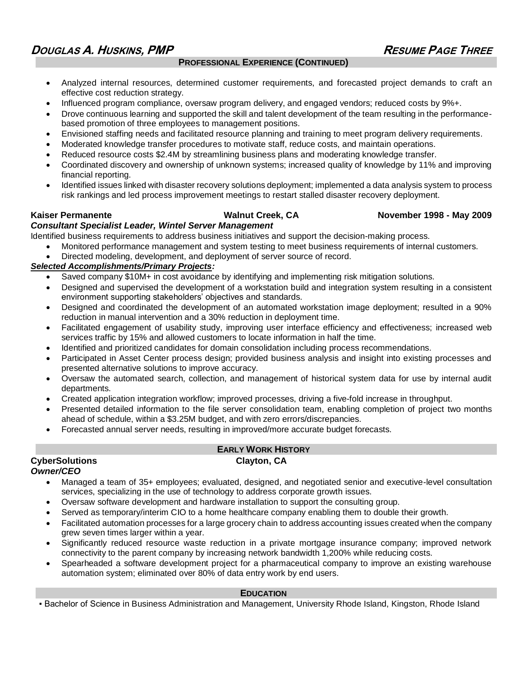## **DOUGLAS A. HUSKINS, PMP RESUME PAGE THREE**

#### **PROFESSIONAL EXPERIENCE (CONTINUED)**

- Analyzed internal resources, determined customer requirements, and forecasted project demands to craft an effective cost reduction strategy.
- Influenced program compliance, oversaw program delivery, and engaged vendors; reduced costs by 9%+.
- Drove continuous learning and supported the skill and talent development of the team resulting in the performancebased promotion of three employees to management positions.
- Envisioned staffing needs and facilitated resource planning and training to meet program delivery requirements.
- Moderated knowledge transfer procedures to motivate staff, reduce costs, and maintain operations.
- Reduced resource costs \$2.4M by streamlining business plans and moderating knowledge transfer.
- Coordinated discovery and ownership of unknown systems; increased quality of knowledge by 11% and improving financial reporting.
- Identified issues linked with disaster recovery solutions deployment; implemented a data analysis system to process risk rankings and led process improvement meetings to restart stalled disaster recovery deployment.

#### **Kaiser Permanente Walnut Creek, CA November 1998 - May 2009**

#### *Consultant Specialist Leader, Wintel Server Management*

Identified business requirements to address business initiatives and support the decision-making process.

- Monitored performance management and system testing to meet business requirements of internal customers.
- Directed modeling, development, and deployment of server source of record.

### *Selected Accomplishments/Primary Projects:*

- Saved company \$10M+ in cost avoidance by identifying and implementing risk mitigation solutions.
- Designed and supervised the development of a workstation build and integration system resulting in a consistent environment supporting stakeholders' objectives and standards.
- Designed and coordinated the development of an automated workstation image deployment; resulted in a 90% reduction in manual intervention and a 30% reduction in deployment time.
- Facilitated engagement of usability study, improving user interface efficiency and effectiveness; increased web services traffic by 15% and allowed customers to locate information in half the time.
- Identified and prioritized candidates for domain consolidation including process recommendations.
- Participated in Asset Center process design; provided business analysis and insight into existing processes and presented alternative solutions to improve accuracy.
- Oversaw the automated search, collection, and management of historical system data for use by internal audit departments.
- Created application integration workflow; improved processes, driving a five-fold increase in throughput.
- Presented detailed information to the file server consolidation team, enabling completion of project two months ahead of schedule, within a \$3.25M budget, and with zero errors/discrepancies.
- Forecasted annual server needs, resulting in improved/more accurate budget forecasts.

#### **EARLY WORK HISTORY CyberSolutions Clayton, CA** *Owner/CEO*

- Managed a team of 35+ employees; evaluated, designed, and negotiated senior and executive-level consultation services, specializing in the use of technology to address corporate growth issues.
- Oversaw software development and hardware installation to support the consulting group.
- Served as temporary/interim CIO to a home healthcare company enabling them to double their growth.
- Facilitated automation processes for a large grocery chain to address accounting issues created when the company grew seven times larger within a year.
- Significantly reduced resource waste reduction in a private mortgage insurance company; improved network connectivity to the parent company by increasing network bandwidth 1,200% while reducing costs.
- Spearheaded a software development project for a pharmaceutical company to improve an existing warehouse automation system; eliminated over 80% of data entry work by end users.

### **EDUCATION**

▪ Bachelor of Science in Business Administration and Management, University Rhode Island, Kingston, Rhode Island